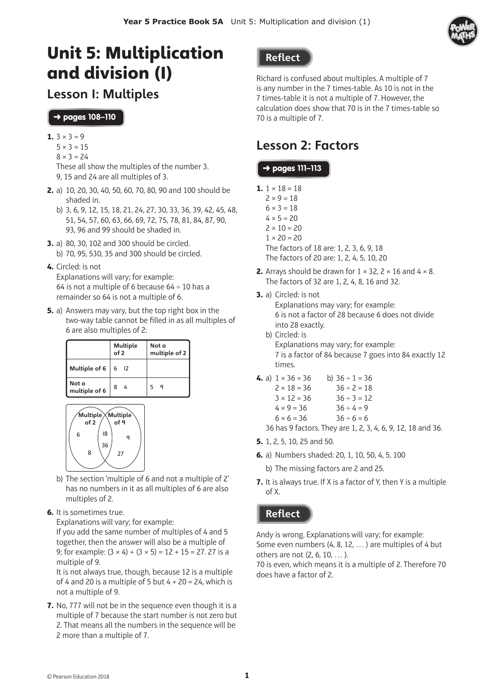

# Unit 5: Multiplication and division (1)

## Lesson 1: Multiples

#### ➜ pages **108–110**

- 1.  $3 \times 3 = 9$ 
	- $5 \times 3 = 15$
	- $8 \times 3 = 24$

These all show the multiples of the number 3. 9, 15 and 24 are all multiples of 3.

- **2.** a) 10, 20, 30, 40, 50, 60, 70, 80, 90 and 100 should be shaded in.
	- b) 3, 6, 9, 12, 15, 18, 21, 24, 27, 30, 33, 36, 39, 42, 45, 48, 51, 54, 57, 60, 63, 66, 69, 72, 75, 78, 81, 84, 87, 90, 93, 96 and 99 should be shaded in.
- **3.** a) 80, 30, 102 and 300 should be circled. b) 70, 95, 530, 35 and 300 should be circled.
- **4.** Circled: is not

Explanations will vary; for example: 64 is not a multiple of 6 because  $64 \div 10$  has a remainder so 64 is not a multiple of 6.

**5.** a) Answers may vary, but the top right box in the two-way table cannot be filled in as all multiples of 6 are also multiples of 2:

|                        | of 2 | <b>Multiple</b> | Not a<br>multiple of 2 |
|------------------------|------|-----------------|------------------------|
| Multiple of 6          | 6    | $\overline{12}$ |                        |
| Not a<br>multiple of 6 | 8    |                 | a                      |



- b) The section 'multiple of 6 and not a multiple of 2' has no numbers in it as all multiples of 6 are also multiples of 2.
- **6.** It is sometimes true.

Explanations will vary; for example:

If you add the same number of multiples of 4 and 5 together, then the answer will also be a multiple of 9; for example:  $(3 \times 4) + (3 \times 5) = 12 + 15 = 27.27$  is a multiple of 9.

It is not always true, though, because 12 is a multiple of 4 and 20 is a multiple of 5 but  $4 + 20 = 24$ , which is not a multiple of 9.

**7.** No, 777 will not be in the sequence even though it is a multiple of 7 because the start number is not zero but 2. That means all the numbers in the sequence will be 2 more than a multiple of 7.

### **Reflect**

Richard is confused about multiples. A multiple of 7 is any number in the 7 times-table. As 10 is not in the 7 times-table it is not a multiple of 7. However, the calculation does show that 70 is in the 7 times-table so 70 is a multiple of 7.

## Lesson 2: Factors

### ➜ pages **111–113**

**1.**  $1 \times 18 = 18$  $2 \times 9 = 18$  $6 \times 3 = 18$  $4 \times 5 = 20$ 

 $2 \times 10 = 20$ 

 $1 \times 20 = 20$ 

The factors of 18 are: 1, 2, 3, 6, 9, 18 The factors of 20 are: 1, 2, 4, 5, 10, 20

- **2.** Arrays should be drawn for  $1 \times 32$ ,  $2 \times 16$  and  $4 \times 8$ . The factors of 32 are 1, 2, 4, 8, 16 and 32.
- **3.** a) Circled: is not

Explanations may vary; for example: 6 is not a factor of 28 because 6 does not divide into 28 exactly.

- b) Circled: is Explanations may vary; for example: 7 is a factor of 84 because 7 goes into 84 exactly 12 times.
- **4.** a)  $1 \times 36 = 36$  b)  $36 \div 1 = 36$  $2 \times 18 = 36$   $36 \div 2 = 18$  $3 \times 12 = 36$   $36 \div 3 = 12$  $4 \times 9 = 36$   $36 \div 4 = 9$  $6 \times 6 = 36$   $36 \div 6 = 6$

36 has 9 factors. They are 1, 2, 3, 4, 6, 9, 12, 18 and 36.

- **5.** 1, 2, 5, 10, 25 and 50.
- **6.** a) Numbers shaded: 20, 1, 10, 50, 4, 5, 100
	- b) The missing factors are 2 and 25.
- **7.** It is always true. If X is a factor of Y, then Y is a multiple of X.

### **Reflect**

Andy is wrong. Explanations will vary; for example: Some even numbers (4, 8, 12, … ) are multiples of 4 but others are not (2, 6, 10, … ).

70 is even, which means it is a multiple of 2. Therefore 70 does have a factor of 2.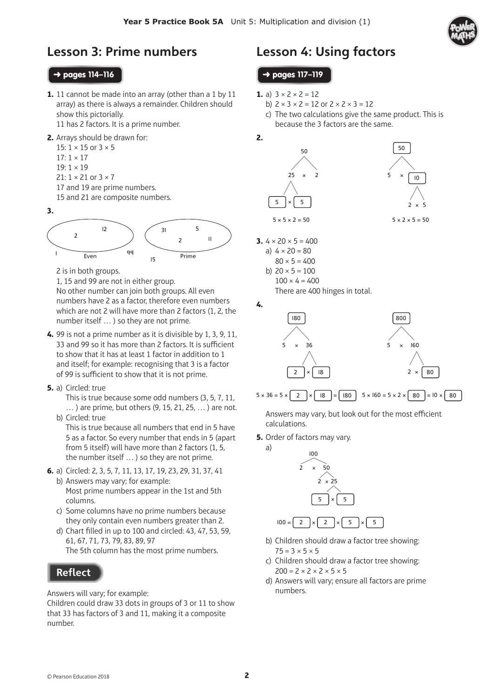

## Lesson 3: Prime numbers

#### ➜ pages **114–116**

- **1.** 11 cannot be made into an array (other than a 1 by 11 array) as there is always a remainder. Children should show this pictorially. 11 has 2 factors. It is a prime number.
- **2.** Arrays should be drawn for:

15:  $1 \times 15$  or  $3 \times 5$  $17:1 \times 17$  $19:1 \times 19$  $21: 1 \times 21$  or  $3 \times 7$ 17 and 19 are prime numbers. 15 and 21 are composite numbers.

**3.** 



2 is in both groups.

1, 15 and 99 are not in either group.

No other number can join both groups. All even numbers have 2 as a factor, therefore even numbers which are not 2 will have more than 2 factors (1, 2, the number itself … ) so they are not prime.

- **4.** 99 is not a prime number as it is divisible by 1, 3, 9, 11, 33 and 99 so it has more than 2 factors. It is sufficient to show that it has at least 1 factor in addition to 1 and itself; for example: recognising that 3 is a factor of 99 is sufficient to show that it is not prime.
- **5.** a) Circled: true

This is true because some odd numbers (3, 5, 7, 11, … ) are prime, but others (9, 15, 21, 25, … ) are not. b) Circled: true

This is true because all numbers that end in 5 have 5 as a factor. So every number that ends in 5 (apart from 5 itself) will have more than 2 factors (1, 5, the number itself … ) so they are not prime.

- **6.** a) Circled: 2, 3, 5, 7, 11, 13, 17, 19, 23, 29, 31, 37, 41 b) Answers may vary; for example:
	- Most prime numbers appear in the 1st and 5th columns.
	- c) Some columns have no prime numbers because they only contain even numbers greater than 2.
	- d) Chart filled in up to 100 and circled: 43, 47, 53, 59, 61, 67, 71, 73, 79, 83, 89, 97 The 5th column has the most prime numbers.

### **Reflect**

Answers will vary; for example:

Children could draw 33 dots in groups of 3 or 11 to show that 33 has factors of 3 and 11, making it a composite number.

## Lesson 4: Using factors

#### ➜ pages **117–119**

- **1.** a)  $3 \times 2 \times 2 = 12$ 
	- b)  $2 \times 3 \times 2 = 12$  or  $2 \times 2 \times 3 = 12$
	- c) The two calculations give the same product. This is because the 3 factors are the same.



**3.**  $4 \times 20 \times 5 = 400$ a)  $4 \times 20 = 80$  $80 \times 5 = 400$ 

b) 
$$
20 \times 5 = 100
$$
  
 $100 \times 4 = 400$ 

There are 400 hinges in total.



Answers may vary, but look out for the most efficient calculations.

**5.** Order of factors may vary.

a)



- b) Children should draw a factor tree showing:  $75 = 3 \times 5 \times 5$
- c) Children should draw a factor tree showing:  $200 = 2 \times 2 \times 2 \times 5 \times 5$
- d) Answers will vary; ensure all factors are prime numbers.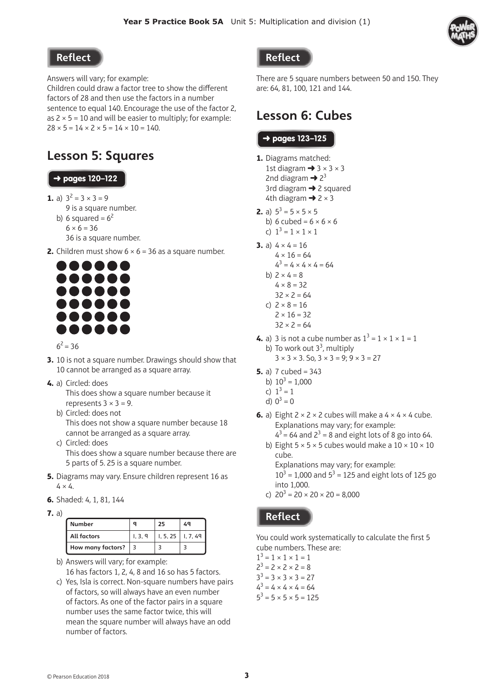

#### Reflect

Answers will vary; for example:

Children could draw a factor tree to show the different factors of 28 and then use the factors in a number sentence to equal 140. Encourage the use of the factor 2, as  $2 \times 5 = 10$  and will be easier to multiply; for example:  $28 \times 5 = 14 \times 2 \times 5 = 14 \times 10 = 140.$ 

## Lesson 5: Squares

### ➜ pages **120–122**

- **1.** a)  $3^2 = 3 \times 3 = 9$ 
	- 9 is a square number.
	- b) 6 squared =  $6^2$ 
		- $6 \times 6 = 36$
		- 36 is a square number.
- **2.** Children must show  $6 \times 6 = 36$  as a square number.



#### $6^2$  = 36

- **3.** 10 is not a square number. Drawings should show that 10 cannot be arranged as a square array.
- **4.** a) Circled: does
	- This does show a square number because it represents  $3 \times 3 = 9$ .
	- b) Circled: does not This does not show a square number because 18 cannot be arranged as a square array.
	- c) Circled: does This does show a square number because there are 5 parts of 5. 25 is a square number.
- **5.** Diagrams may vary. Ensure children represent 16 as  $4 \times 4$ .
- **6.** Shaded: 4, 1, 81, 144
- **7.** a)

| <b>Number</b>      |       | 25                      |  |
|--------------------|-------|-------------------------|--|
| <b>All factors</b> | 1.3.9 | $1, 5, 25$   $1, 7, 49$ |  |
| How many factors?  |       |                         |  |

b) Answers will vary; for example: 16 has factors 1, 2, 4, 8 and 16 so has 5 factors.

c) Yes, Isla is correct. Non-square numbers have pairs of factors, so will always have an even number of factors. As one of the factor pairs in a square number uses the same factor twice, this will mean the square number will always have an odd number of factors.

#### **Reflect**

There are 5 square numbers between 50 and 150. They are: 64, 81, 100, 121 and 144.

## Lesson 6: Cubes

#### ➜ pages **123–125**

- **1.** Diagrams matched: 1st diagram  $\rightarrow$  3  $\times$  3  $\times$  3 2nd diagram  $\rightarrow$  2<sup>3</sup> 3rd diagram  $\rightarrow$  2 squared 4th diagram  $\rightarrow$  2  $\times$  3
- **2.** a)  $5^3 = 5 \times 5 \times 5$ 
	- b) 6 cubed =  $6 \times 6 \times 6$
	- c)  $1^3 = 1 \times 1 \times 1$
- **3.** a)  $4 \times 4 = 16$  $4 \times 16 = 64$  $4^3 = 4 \times 4 \times 4 = 64$ 
	- b)  $2 \times 4 = 8$  $4 \times 8 = 32$
	- $32 \times 2 = 64$
	- c)  $2 \times 8 = 16$  $2 \times 16 = 32$ 
		- $32 \times 2 = 64$
- **4.** a) 3 is not a cube number as  $1^3 = 1 \times 1 \times 1 = 1$ b) To work out  $3<sup>3</sup>$ , multiply  $3 \times 3 \times 3$ . So,  $3 \times 3 = 9$ ;  $9 \times 3 = 27$
- **5.** a)  $7 \text{ cubed} = 343$ 
	- b)  $10^3 = 1,000$
	- c)  $1^3 = 1$
	- d)  $0^3 = 0$
- **6.** a) Eight  $2 \times 2 \times 2$  cubes will make a  $4 \times 4 \times 4$  cube. Explanations may vary; for example:  $4^3$  = 64 and  $2^3$  = 8 and eight lots of 8 go into 64.
	- b) Eight  $5 \times 5 \times 5$  cubes would make a  $10 \times 10 \times 10$ cube.

Explanations may vary; for example:  $10^3$  = 1,000 and  $5^3$  = 125 and eight lots of 125 go into 1,000.

c)  $20^3 = 20 \times 20 \times 20 = 8,000$ 

### **Reflect**

You could work systematically to calculate the first 5 cube numbers. These are:

 $1^3 = 1 \times 1 \times 1 = 1$  $2^3 = 2 \times 2 \times 2 = 8$  $3^3 = 3 \times 3 \times 3 = 27$  $4^3 = 4 \times 4 \times 4 = 64$  $5^3 = 5 \times 5 \times 5 = 125$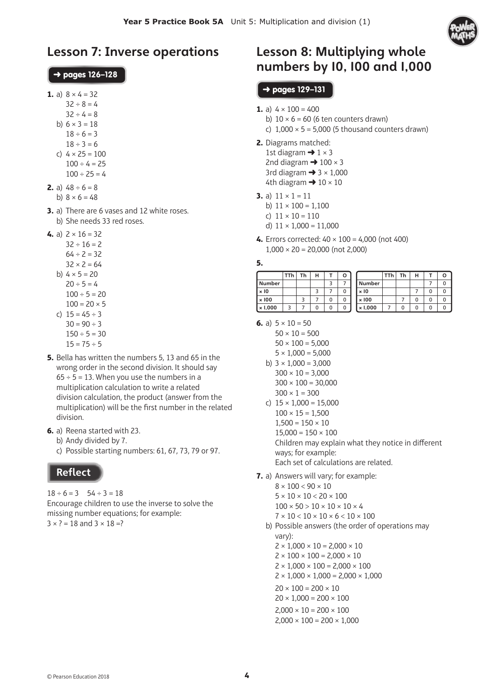

## Lesson 7: Inverse operations

#### ➜ pages **126–128**

- **1.** a)  $8 \times 4 = 32$
- $32 \div 8 = 4$ 
	- $32 \div 4 = 8$
	- b)  $6 \times 3 = 18$  $18 \div 6 = 3$ 
		- $18 \div 3 = 6$
	- c)  $4 \times 25 = 100$ 
		- $100 \div 4 = 25$
		- $100 \div 25 = 4$
- **2.** a)  $48 \div 6 = 8$ b)  $8 \times 6 = 48$
- **3.** a) There are 6 vases and 12 white roses. b) She needs 33 red roses.
- **4.** a)  $2 \times 16 = 32$ 
	- $32 \div 16 = 2$  $64 \div 2 = 32$  $32 \times 2 = 64$ b)  $4 \times 5 = 20$  $20 \div 5 = 4$  $100 \div 5 = 20$  $100 = 20 \times 5$ c)  $15 = 45 \div 3$  $30 = 90 \div 3$ 
		- $150 \div 5 = 30$
		- $15 = 75 \div 5$
- **5.** Bella has written the numbers 5, 13 and 65 in the wrong order in the second division. It should say  $65 \div 5 = 13$ . When you use the numbers in a multiplication calculation to write a related division calculation, the product (answer from the multiplication) will be the first number in the related division.
- **6.** a) Reena started with 23.
	- b) Andy divided by 7.
	- c) Possible starting numbers: 61, 67, 73, 79 or 97.

### **Reflect**

 $18 \div 6 = 3$   $54 \div 3 = 18$ Encourage children to use the inverse to solve the missing number equations; for example:  $3 \times ? = 18$  and  $3 \times 18 = ?$ 

## Lesson 8: Multiplying whole numbers by 10, 100 and 1,000

#### ➜ pages **129–131**

- **1.** a)  $4 \times 100 = 400$ 
	- b)  $10 \times 6 = 60$  (6 ten counters drawn)
	- c)  $1,000 \times 5 = 5,000$  (5 thousand counters drawn)
- **2.** Diagrams matched: 1st diagram  $\rightarrow$  1  $\times$  3 2nd diagram  $\rightarrow$  100  $\times$  3 3rd diagram  $\rightarrow$  3  $\times$  1,000 4th diagram  $\rightarrow$  10  $\times$  10
- **3.** a)  $11 \times 1 = 11$ 
	- b)  $11 \times 100 = 1.100$
	- c)  $11 \times 10 = 110$
	- d)  $11 \times 1,000 = 11,000$
- **4.** Errors corrected: 40 × 100 = 4,000 (not 400)  $1,000 \times 20 = 20,000$  (not 2,000)

#### **5.**

|                | TTh | Тh | н |   |   |                | TTh | Th | н |   |  |
|----------------|-----|----|---|---|---|----------------|-----|----|---|---|--|
| <b>Number</b>  |     |    |   |   |   | Number         |     |    |   |   |  |
| $\times 10$    |     |    |   |   | 0 | $\times 10$    |     |    |   | 0 |  |
| $\times 100$   |     |    |   | 0 | 0 | $\times 100$   |     |    |   | 0 |  |
| $\times 1,000$ | 3   |    |   | 0 | O | $\times 1,000$ |     |    |   | 0 |  |

- **6.** a)  $5 \times 10 = 50$ 
	- $50 \times 10 = 500$
	- $50 \times 100 = 5,000$  $5 \times 1,000 = 5,000$
	- b)  $3 \times 1,000 = 3,000$  $300 \times 10 = 3,000$  $300 \times 100 = 30,000$  $300 \times 1 = 300$
	- c)  $15 \times 1,000 = 15,000$  $100 \times 15 = 1,500$  $1,500 = 150 \times 10$  $15.000 = 150 \times 100$ Children may explain what they notice in different

ways; for example: Each set of calculations are related.

- 
- **7.** a) Answers will vary; for example:

 $8 \times 100 < 90 \times 10$  $5 \times 10 \times 10 < 20 \times 100$ 

- $100 \times 50 > 10 \times 10 \times 10 \times 4$
- $7 \times 10 \times 10 \times 10 \times 6 \times 10 \times 100$
- b) Possible answers (the order of operations may vary):

 $2 \times 1,000 \times 10 = 2,000 \times 10$ 

- $2 \times 100 \times 100 = 2,000 \times 10$
- $2 \times 1,000 \times 100 = 2,000 \times 100$
- $2 \times 1,000 \times 1,000 = 2,000 \times 1,000$
- $20 \times 100 = 200 \times 10$
- $20 \times 1,000 = 200 \times 100$
- $2,000 \times 10 = 200 \times 100$
- $2,000 \times 100 = 200 \times 1,000$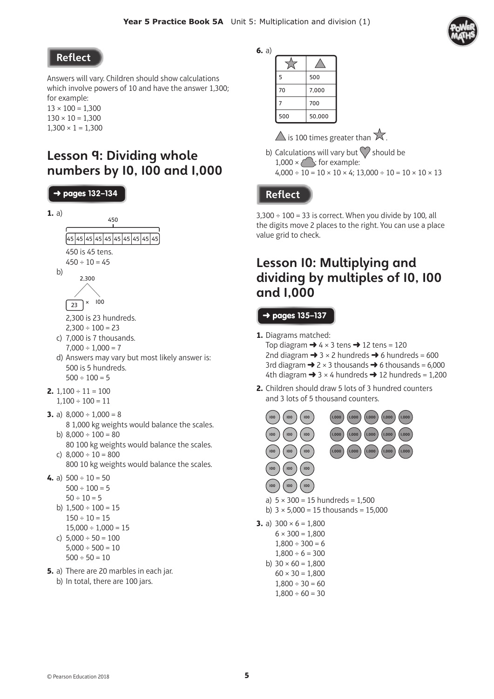**6.** a)



### **Reflect**

Answers will vary. Children should show calculations which involve powers of 10 and have the answer 1,300; for example:

 $13 \times 100 = 1,300$  $130 \times 10 = 1,300$  $1,300 \times 1 = 1,300$ 

## Lesson 9: Dividing whole numbers by 10, 100 and 1,000



- $5,000 \div 500 = 10$
- $500 \div 50 = 10$
- **5.** a) There are 20 marbles in each jar. b) In total, there are 100 jars.

| 5   | 500    |
|-----|--------|
| 70  | 7,000  |
| 7   | 700    |
| 500 | 50,000 |

 $\triangle$  is 100 times greater than  $\overline{\times}$ .

b) Calculations will vary but  $\heartsuit$  should be  $1,000 \times \text{ }$ ; for example:  $4,000 \div 10 = 10 \times 10 \times 4$ ; 13,000  $\div 10 = 10 \times 10 \times 13$ 

### **Reflect**

 $3,300 \div 100 = 33$  is correct. When you divide by 100, all the digits move 2 places to the right. You can use a place value grid to check.

## Lesson 10: Multiplying and dividing by multiples of 10, 100 and 1,000

#### ➜ pages **135–137**

**1.** Diagrams matched:

Top diagram  $\rightarrow$  4  $\times$  3 tens  $\rightarrow$  12 tens = 120 2nd diagram  $\rightarrow$  3  $\times$  2 hundreds  $\rightarrow$  6 hundreds = 600 3rd diagram  $\rightarrow$  2  $\times$  3 thousands  $\rightarrow$  6 thousands = 6,000 4th diagram  $\rightarrow$  3 × 4 hundreds  $\rightarrow$  12 hundreds = 1,200

**2.** Children should draw 5 lots of 3 hundred counters and 3 lots of 5 thousand counters.



a)  $5 \times 300 = 15$  hundreds = 1,500

b)  $3 \times 5,000 = 15$  thousands = 15,000

**3.** a)  $300 \times 6 = 1,800$  $6 \times 300 = 1.800$  $1.800 \div 300 = 6$ 

100 ) ( 100 ) ( 100

 $1,800 \div 6 = 300$ 

b)  $30 \times 60 = 1,800$ 

- $60 \times 30 = 1,800$  $1,800 \div 30 = 60$
- $1,800 \div 60 = 30$